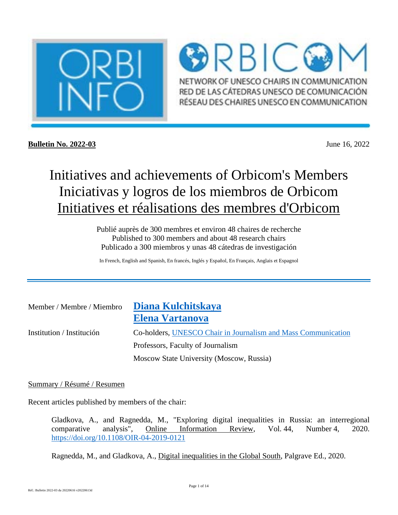

 $\bigcirc$ RBIC $\bigcirc$ NETWORK OF UNESCO CHAIRS IN COMMUNICATION RED DE LAS CÁTEDRAS UNESCO DE COMUNICACIÓN RÉSEAU DES CHAIRES UNESCO EN COMMUNICATION

**Bulletin No. 2022-03** June 16, 2022

# Initiatives and achievements of Orbicom's Members Iniciativas y logros de los miembros de Orbicom Initiatives et réalisations des membres d'Orbicom

Publié auprès de 300 membres et environ 48 chaires de recherche Published to 300 members and about 48 research chairs Publicado a 300 miembros y unas 48 cátedras de investigación

In French, English and Spanish, En francés, Inglés y Español, En Français, Anglais et Espagnol

| Member / Membre / Miembro | Diana Kulchitskaya                                            |
|---------------------------|---------------------------------------------------------------|
|                           | Elena Vartanova                                               |
| Institution / Institución | Co-holders, UNESCO Chair in Journalism and Mass Communication |
|                           | Professors, Faculty of Journalism                             |
|                           | Moscow State University (Moscow, Russia)                      |

### Summary / Résumé / Resumen

Recent articles published by members of the chair:

Gladkova, A., and Ragnedda, M., "Exploring digital inequalities in Russia: an interregional comparative analysis", Online Information Review, Vol. 44, Number 4, 2020. https://doi.org/10.1108/OIR-04-2019-0121

Ragnedda, M., and Gladkova, A., Digital inequalities in the Global South, Palgrave Ed., 2020.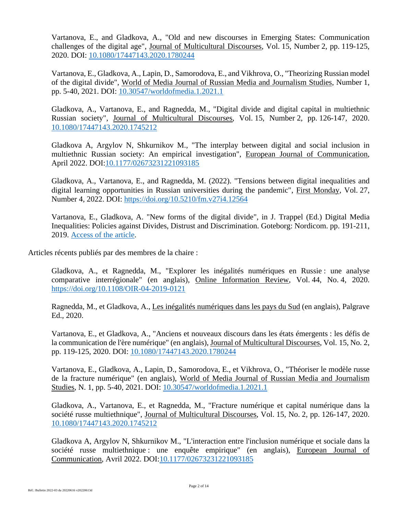Vartanova, E., and Gladkova, A., "Old and new discourses in Emerging States: Communication challenges of the digital age", Journal of Multicultural Discourses, Vol. 15, Number 2, pp. 119-125, 2020. DOI: 10.1080/17447143.2020.1780244

Vartanova, E., Gladkova, A., Lapin, D., Samorodova, E., and Vikhrova, O., "Theorizing Russian model of the digital divide", World of Media Journal of Russian Media and Journalism Studies, Number 1, pp. 5-40, 2021. DOI: 10.30547/worldofmedia.1.2021.1

Gladkova, A., Vartanova, E., and Ragnedda, M., "Digital divide and digital capital in multiethnic Russian society", Journal of Multicultural Discourses, Vol. 15, Number 2, pp. 126-147, 2020. 10.1080/17447143.2020.1745212

Gladkova A, Argylov N, Shkurnikov M., "The interplay between digital and social inclusion in multiethnic Russian society: An empirical investigation", European Journal of Communication, April 2022. DOI:10.1177/02673231221093185

Gladkova, A., Vartanova, E., and Ragnedda, M. (2022). "Tensions between digital inequalities and digital learning opportunities in Russian universities during the pandemic", First Monday, Vol. 27, Number 4, 2022. DOI: https://doi.org/10.5210/fm.v27i4.12564

Vartanova, E., Gladkova, A. "New forms of the digital divide", in J. Trappel (Ed.) Digital Media Inequalities: Policies against Divides, Distrust and Discrimination. Goteborg: Nordicom. pp. 191-211, 2019. Access of the article.

Articles récents publiés par des membres de la chaire :

Gladkova, A., et Ragnedda, M., "Explorer les inégalités numériques en Russie : une analyse comparative interrégionale" (en anglais), Online Information Review, Vol. 44, No. 4, 2020. https://doi.org/10.1108/OIR-04-2019-0121

Ragnedda, M., et Gladkova, A., Les inégalités numériques dans les pays du Sud (en anglais), Palgrave Ed., 2020.

Vartanova, E., et Gladkova, A., "Anciens et nouveaux discours dans les états émergents : les défis de la communication de l'ère numérique" (en anglais), Journal of Multicultural Discourses, Vol. 15, No. 2, pp. 119-125, 2020. DOI: 10.1080/17447143.2020.1780244

Vartanova, E., Gladkova, A., Lapin, D., Samorodova, E., et Vikhrova, O., "Théoriser le modèle russe de la fracture numérique" (en anglais), World of Media Journal of Russian Media and Journalism Studies, N. 1, pp. 5-40, 2021. DOI: 10.30547/worldofmedia.1.2021.1

Gladkova, A., Vartanova, E., et Ragnedda, M., "Fracture numérique et capital numérique dans la société russe multiethnique", Journal of Multicultural Discourses, Vol. 15, No. 2, pp. 126-147, 2020. 10.1080/17447143.2020.1745212

Gladkova A, Argylov N, Shkurnikov M., "L'interaction entre l'inclusion numérique et sociale dans la société russe multiethnique : une enquête empirique" (en anglais), European Journal of Communication, Avril 2022. DOI:10.1177/02673231221093185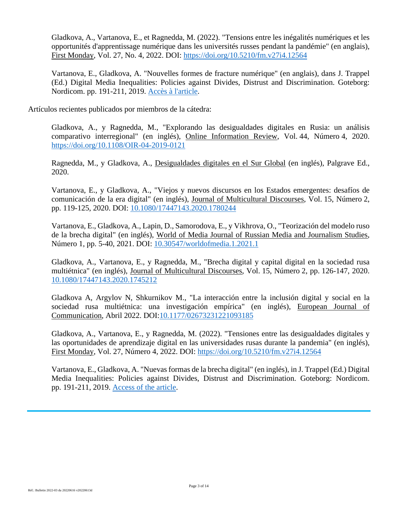Gladkova, A., Vartanova, E., et Ragnedda, M. (2022). "Tensions entre les inégalités numériques et les opportunités d'apprentissage numérique dans les universités russes pendant la pandémie" (en anglais), First Monday, Vol. 27, No. 4, 2022. DOI: https://doi.org/10.5210/fm.v27i4.12564

Vartanova, E., Gladkova, A. "Nouvelles formes de fracture numérique" (en anglais), dans J. Trappel (Ed.) Digital Media Inequalities: Policies against Divides, Distrust and Discrimination. Goteborg: Nordicom. pp. 191-211, 2019. Accès à l'article.

Artículos recientes publicados por miembros de la cátedra:

Gladkova, A., y Ragnedda, M., "Explorando las desigualdades digitales en Rusia: un análisis comparativo interregional" (en inglés), Online Information Review, Vol. 44, Número 4, 2020. https://doi.org/10.1108/OIR-04-2019-0121

Ragnedda, M., y Gladkova, A., Desigualdades digitales en el Sur Global (en inglés), Palgrave Ed., 2020.

Vartanova, E., y Gladkova, A., "Viejos y nuevos discursos en los Estados emergentes: desafíos de comunicación de la era digital" (en inglés), Journal of Multicultural Discourses, Vol. 15, Número 2, pp. 119-125, 2020. DOI: 10.1080/17447143.2020.1780244

Vartanova, E., Gladkova, A., Lapin, D., Samorodova, E., y Vikhrova, O., "Teorización del modelo ruso de la brecha digital" (en inglés), World of Media Journal of Russian Media and Journalism Studies, Número 1, pp. 5-40, 2021. DOI: 10.30547/worldofmedia.1.2021.1

Gladkova, A., Vartanova, E., y Ragnedda, M., "Brecha digital y capital digital en la sociedad rusa multiétnica" (en inglés), Journal of Multicultural Discourses, Vol. 15, Número 2, pp. 126-147, 2020. 10.1080/17447143.2020.1745212

Gladkova A, Argylov N, Shkurnikov M., "La interacción entre la inclusión digital y social en la sociedad rusa multiétnica: una investigación empírica" (en inglés), European Journal of Communication, Abril 2022. DOI:10.1177/02673231221093185

Gladkova, A., Vartanova, E., y Ragnedda, M. (2022). "Tensiones entre las desigualdades digitales y las oportunidades de aprendizaje digital en las universidades rusas durante la pandemia" (en inglés), First Monday, Vol. 27, Número 4, 2022. DOI: https://doi.org/10.5210/fm.v27i4.12564

Vartanova, E., Gladkova, A. "Nuevas formas de la brecha digital" (en inglés), in J. Trappel (Ed.) Digital Media Inequalities: Policies against Divides, Distrust and Discrimination. Goteborg: Nordicom. pp. 191-211, 2019. Access of the article.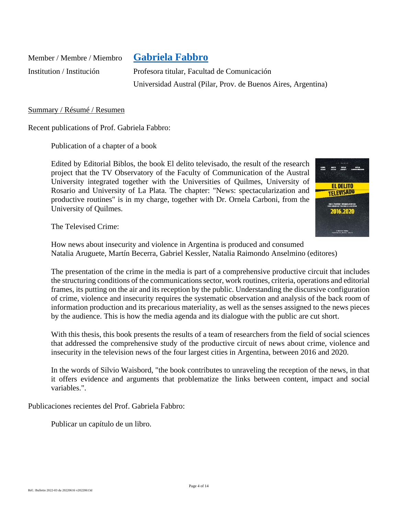Member / Membre / Miembro **Gabriela Fabbro**

Institution / Institución Profesora titular, Facultad de Comunicación Universidad Austral (Pilar, Prov. de Buenos Aires, Argentina)

#### Summary / Résumé / Resumen

Recent publications of Prof. Gabriela Fabbro:

Publication of a chapter of a book

Edited by Editorial Biblos, the book El delito televisado, the result of the research project that the TV Observatory of the Faculty of Communication of the Austral University integrated together with the Universities of Quilmes, University of Rosario and University of La Plata. The chapter: "News: spectacularization and productive routines" is in my charge, together with Dr. Ornela Carboni, from the University of Quilmes.



The Televised Crime:

How news about insecurity and violence in Argentina is produced and consumed Natalia Aruguete, Martín Becerra, Gabriel Kessler, Natalia Raimondo Anselmino (editores)

The presentation of the crime in the media is part of a comprehensive productive circuit that includes the structuring conditions of the communications sector, work routines, criteria, operations and editorial frames, its putting on the air and its reception by the public. Understanding the discursive configuration of crime, violence and insecurity requires the systematic observation and analysis of the back room of information production and its precarious materiality, as well as the senses assigned to the news pieces by the audience. This is how the media agenda and its dialogue with the public are cut short.

With this thesis, this book presents the results of a team of researchers from the field of social sciences that addressed the comprehensive study of the productive circuit of news about crime, violence and insecurity in the television news of the four largest cities in Argentina, between 2016 and 2020.

In the words of Silvio Waisbord, "the book contributes to unraveling the reception of the news, in that it offers evidence and arguments that problematize the links between content, impact and social variables.".

Publicaciones recientes del Prof. Gabriela Fabbro:

Publicar un capítulo de un libro.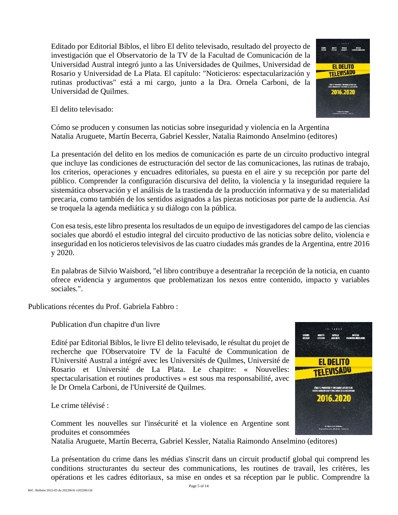Editado por Editorial Biblos, el libro El delito televisado, resultado del proyecto de investigación que el Observatorio de la TV de la Facultad de Comunicación de la Universidad Austral integró junto a las Universidades de Quilmes, Universidad de Rosario y Universidad de La Plata. El capítulo: "Noticieros: espectacularización y rutinas productivas" está a mi cargo, junto a la Dra. Ornela Carboni, de la Universidad de Quilmes.



El delito televisado:

Cómo se producen y consumen las noticias sobre inseguridad y violencia en la Argentina Natalia Aruguete, Martín Becerra, Gabriel Kessler, Natalia Raimondo Anselmino (editores)

La presentación del delito en los medios de comunicación es parte de un circuito productivo integral que incluye las condiciones de estructuración del sector de las comunicaciones, las rutinas de trabajo, los criterios, operaciones y encuadres editoriales, su puesta en el aire y su recepción por parte del público. Comprender la configuración discursiva del delito, la violencia y la inseguridad requiere la sistemática observación y el análisis de la trastienda de la producción informativa y de su materialidad precaria, como también de los sentidos asignados a las piezas noticiosas por parte de la audiencia. Así se troquela la agenda mediática y su diálogo con la pública.

Con esa tesis, este libro presenta los resultados de un equipo de investigadores del campo de las ciencias sociales que abordó el estudio integral del circuito productivo de las noticias sobre delito, violencia e inseguridad en los noticieros televisivos de las cuatro ciudades más grandes de la Argentina, entre 2016 y 2020.

En palabras de Silvio Waisbord, "el libro contribuye a desentrañar la recepción de la noticia, en cuanto ofrece evidencia y argumentos que problematizan los nexos entre contenido, impacto y variables sociales.".

Publications récentes du Prof. Gabriela Fabbro :

Publication d'un chapitre d'un livre

Edité par Editorial Biblos, le livre El delito televisado, le résultat du projet de recherche que l'Observatoire TV de la Faculté de Communication de l'Université Austral a intégré avec les Universités de Quilmes, Université de Rosario et Université de La Plata. Le chapitre: « Nouvelles: spectacularisation et routines productives » est sous ma responsabilité, avec le Dr Ornela Carboni, de l'Université de Quilmes.

Le crime télévisé :

Comment les nouvelles sur l'insécurité et la violence en Argentine sont produites et consommées

Natalia Aruguete, Martín Becerra, Gabriel Kessler, Natalia Raimondo Anselmino (editores)

La présentation du crime dans les médias s'inscrit dans un circuit productif global qui comprend les conditions structurantes du secteur des communications, les routines de travail, les critères, les opérations et les cadres éditoriaux, sa mise en ondes et sa réception par le public. Comprendre la

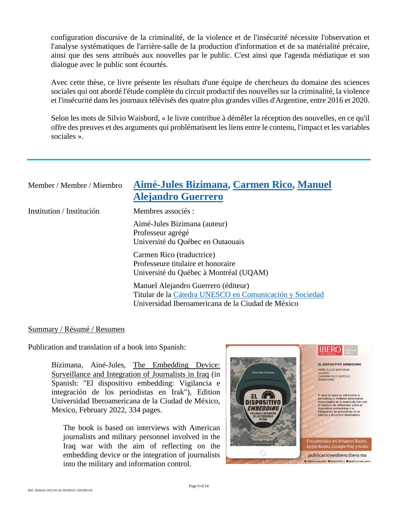configuration discursive de la criminalité, de la violence et de l'insécurité nécessite l'observation et l'analyse systématiques de l'arrière-salle de la production d'information et de sa matérialité précaire, ainsi que des sens attribués aux nouvelles par le public. C'est ainsi que l'agenda médiatique et son dialogue avec le public sont écourtés.

Avec cette thèse, ce livre présente les résultats d'une équipe de chercheurs du domaine des sciences sociales qui ont abordé l'étude complète du circuit productif des nouvelles sur la criminalité, la violence et l'insécurité dans les journaux télévisés des quatre plus grandes villes d'Argentine, entre 2016 et 2020.

Selon les mots de Silvio Waisbord, « le livre contribue à démêler la réception des nouvelles, en ce qu'il offre des preuves et des arguments qui problématisent les liens entre le contenu, l'impact et les variables sociales ».

| Member / Membre / Miembro | Aimé-Jules Bizimana, Carmen Rico, Manuel<br><b>Alejandro Guerrero</b>                                                                               |
|---------------------------|-----------------------------------------------------------------------------------------------------------------------------------------------------|
| Institution / Institución | Membres associés :                                                                                                                                  |
|                           | Aimé-Jules Bizimana (auteur)<br>Professeur agrégé<br>Université du Québec en Outaouais                                                              |
|                           | Carmen Rico (traductrice)<br>Professeure titulaire et honoraire<br>Université du Québec à Montréal (UQAM)                                           |
|                           | Manuel Alejandro Guerrero (éditeur)<br>Titular de la Cátedra UNESCO en Comunicación y Sociedad<br>Universidad Iberoamericana de la Ciudad de México |

#### Summary / Résumé / Resumen

Publication and translation of a book into Spanish:

Bizimana, Ainé-Jules, The Embedding Device: Surveillance and Integration of Journalists in Iraq (in Spanish: "El dispositivo embedding: Vigilancia e integración de los periodistas en Irak"), Edition Universidad Iberoamericana de la Ciudad de México, Mexico, February 2022, 334 pages.

The book is based on interviews with American journalists and military personnel involved in the Iraq war with the aim of reflecting on the embedding device or the integration of journalists into the military and information control.

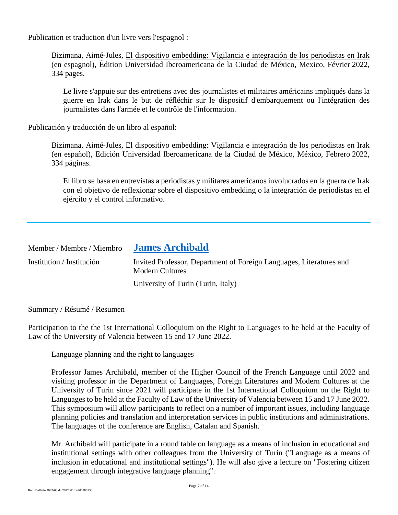Publication et traduction d'un livre vers l'espagnol :

Bizimana, Aimé-Jules, El dispositivo embedding: Vigilancia e integración de los periodistas en Irak (en espagnol), Édition Universidad Iberoamericana de la Ciudad de México, Mexico, Février 2022, 334 pages.

Le livre s'appuie sur des entretiens avec des journalistes et militaires américains impliqués dans la guerre en Irak dans le but de réfléchir sur le dispositif d'embarquement ou l'intégration des journalistes dans l'armée et le contrôle de l'information.

Publicación y traducción de un libro al español:

Bizimana, Aimé-Jules, El dispositivo embedding: Vigilancia e integración de los periodistas en Irak (en español), Edición Universidad Iberoamericana de la Ciudad de México, México, Febrero 2022, 334 páginas.

El libro se basa en entrevistas a periodistas y militares americanos involucrados en la guerra de Irak con el objetivo de reflexionar sobre el dispositivo embedding o la integración de periodistas en el ejército y el control informativo.

| Member / Membre / Miembro | <b>James Archibald</b>                                                                        |
|---------------------------|-----------------------------------------------------------------------------------------------|
| Institution / Institución | Invited Professor, Department of Foreign Languages, Literatures and<br><b>Modern Cultures</b> |
|                           | University of Turin (Turin, Italy)                                                            |

#### Summary / Résumé / Resumen

Participation to the the 1st International Colloquium on the Right to Languages to be held at the Faculty of Law of the University of Valencia between 15 and 17 June 2022.

Language planning and the right to languages

Professor James Archibald, member of the Higher Council of the French Language until 2022 and visiting professor in the Department of Languages, Foreign Literatures and Modern Cultures at the University of Turin since 2021 will participate in the 1st International Colloquium on the Right to Languages to be held at the Faculty of Law of the University of Valencia between 15 and 17 June 2022. This symposium will allow participants to reflect on a number of important issues, including language planning policies and translation and interpretation services in public institutions and administrations. The languages of the conference are English, Catalan and Spanish.

Mr. Archibald will participate in a round table on language as a means of inclusion in educational and institutional settings with other colleagues from the University of Turin ("Language as a means of inclusion in educational and institutional settings"). He will also give a lecture on "Fostering citizen engagement through integrative language planning".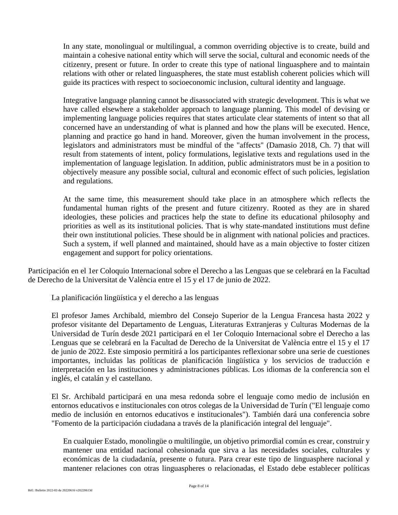In any state, monolingual or multilingual, a common overriding objective is to create, build and maintain a cohesive national entity which will serve the social, cultural and economic needs of the citizenry, present or future. In order to create this type of national linguasphere and to maintain relations with other or related linguaspheres, the state must establish coherent policies which will guide its practices with respect to socioeconomic inclusion, cultural identity and language.

Integrative language planning cannot be disassociated with strategic development. This is what we have called elsewhere a stakeholder approach to language planning. This model of devising or implementing language policies requires that states articulate clear statements of intent so that all concerned have an understanding of what is planned and how the plans will be executed. Hence, planning and practice go hand in hand. Moreover, given the human involvement in the process, legislators and administrators must be mindful of the "affects" (Damasio 2018, Ch. 7) that will result from statements of intent, policy formulations, legislative texts and regulations used in the implementation of language legislation. In addition, public administrators must be in a position to objectively measure any possible social, cultural and economic effect of such policies, legislation and regulations.

At the same time, this measurement should take place in an atmosphere which reflects the fundamental human rights of the present and future citizenry. Rooted as they are in shared ideologies, these policies and practices help the state to define its educational philosophy and priorities as well as its institutional policies. That is why state-mandated institutions must define their own institutional policies. These should be in alignment with national policies and practices. Such a system, if well planned and maintained, should have as a main objective to foster citizen engagement and support for policy orientations.

Participación en el 1er Coloquio Internacional sobre el Derecho a las Lenguas que se celebrará en la Facultad de Derecho de la Universitat de València entre el 15 y el 17 de junio de 2022.

La planificación lingüística y el derecho a las lenguas

El profesor James Archibald, miembro del Consejo Superior de la Lengua Francesa hasta 2022 y profesor visitante del Departamento de Lenguas, Literaturas Extranjeras y Culturas Modernas de la Universidad de Turín desde 2021 participará en el 1er Coloquio Internacional sobre el Derecho a las Lenguas que se celebrará en la Facultad de Derecho de la Universitat de València entre el 15 y el 17 de junio de 2022. Este simposio permitirá a los participantes reflexionar sobre una serie de cuestiones importantes, incluidas las políticas de planificación lingüística y los servicios de traducción e interpretación en las instituciones y administraciones públicas. Los idiomas de la conferencia son el inglés, el catalán y el castellano.

El Sr. Archibald participará en una mesa redonda sobre el lenguaje como medio de inclusión en entornos educativos e institucionales con otros colegas de la Universidad de Turín ("El lenguaje como medio de inclusión en entornos educativos e institucionales"). También dará una conferencia sobre "Fomento de la participación ciudadana a través de la planificación integral del lenguaje".

En cualquier Estado, monolingüe o multilingüe, un objetivo primordial común es crear, construir y mantener una entidad nacional cohesionada que sirva a las necesidades sociales, culturales y económicas de la ciudadanía, presente o futura. Para crear este tipo de linguasphere nacional y mantener relaciones con otras linguaspheres o relacionadas, el Estado debe establecer políticas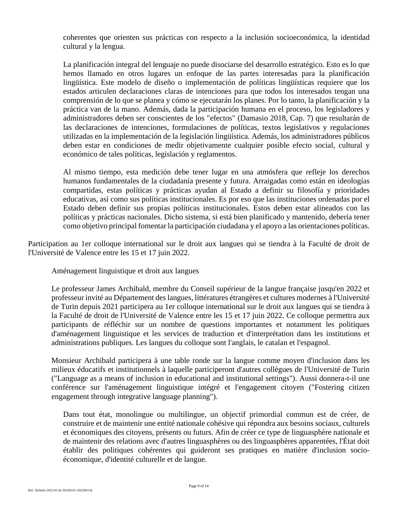coherentes que orienten sus prácticas con respecto a la inclusión socioeconómica, la identidad cultural y la lengua.

La planificación integral del lenguaje no puede disociarse del desarrollo estratégico. Esto es lo que hemos llamado en otros lugares un enfoque de las partes interesadas para la planificación lingüística. Este modelo de diseño o implementación de políticas lingüísticas requiere que los estados articulen declaraciones claras de intenciones para que todos los interesados tengan una comprensión de lo que se planea y cómo se ejecutarán los planes. Por lo tanto, la planificación y la práctica van de la mano. Además, dada la participación humana en el proceso, los legisladores y administradores deben ser conscientes de los "efectos" (Damasio 2018, Cap. 7) que resultarán de las declaraciones de intenciones, formulaciones de políticas, textos legislativos y regulaciones utilizadas en la implementación de la legislación lingüística. Además, los administradores públicos deben estar en condiciones de medir objetivamente cualquier posible efecto social, cultural y económico de tales políticas, legislación y reglamentos.

Al mismo tiempo, esta medición debe tener lugar en una atmósfera que refleje los derechos humanos fundamentales de la ciudadanía presente y futura. Arraigadas como están en ideologías compartidas, estas políticas y prácticas ayudan al Estado a definir su filosofía y prioridades educativas, así como sus políticas institucionales. Es por eso que las instituciones ordenadas por el Estado deben definir sus propias políticas institucionales. Estos deben estar alineados con las políticas y prácticas nacionales. Dicho sistema, si está bien planificado y mantenido, debería tener como objetivo principal fomentar la participación ciudadana y el apoyo a las orientaciones políticas.

Participation au 1er colloque international sur le droit aux langues qui se tiendra à la Faculté de droit de l'Université de Valence entre les 15 et 17 juin 2022.

Aménagement linguistique et droit aux langues

Le professeur James Archibald, membre du Conseil supérieur de la langue française jusqu'en 2022 et professeur invité au Département des langues, littératures étrangères et cultures modernes à l'Université de Turin depuis 2021 participera au 1er colloque international sur le droit aux langues qui se tiendra à la Faculté de droit de l'Université de Valence entre les 15 et 17 juin 2022. Ce colloque permettra aux participants de réfléchir sur un nombre de questions importantes et notamment les politiques d'aménagement linguistique et les services de traduction et d'interprétation dans les institutions et administrations publiques. Les langues du colloque sont l'anglais, le catalan et l'espagnol.

Monsieur Archibald participera à une table ronde sur la langue comme moyen d'inclusion dans les milieux éducatifs et institutionnels à laquelle participeront d'autres collègues de l'Université de Turin ("Language as a means of inclusion in educational and institutional settings"). Aussi donnera-t-il une conférence sur l'aménagement linguistique intégré et l'engagement citoyen ("Fostering citizen engagement through integrative language planning").

Dans tout état, monolingue ou multilingue, un objectif primordial commun est de créer, de construire et de maintenir une entité nationale cohésive qui répondra aux besoins sociaux, culturels et économiques des citoyens, présents ou futurs. Afin de créer ce type de linguasphère nationale et de maintenir des relations avec d'autres linguasphères ou des linguasphères apparentées, l'État doit établir des politiques cohérentes qui guideront ses pratiques en matière d'inclusion socioéconomique, d'identité culturelle et de langue.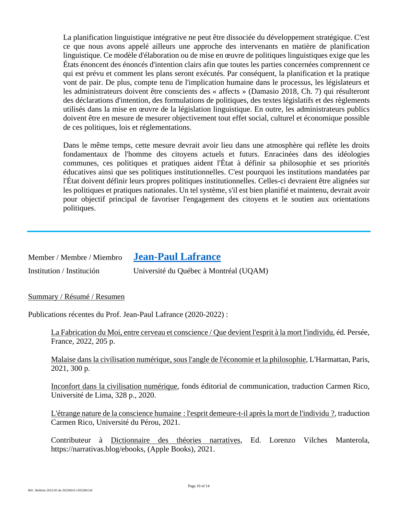La planification linguistique intégrative ne peut être dissociée du développement stratégique. C'est ce que nous avons appelé ailleurs une approche des intervenants en matière de planification linguistique. Ce modèle d'élaboration ou de mise en œuvre de politiques linguistiques exige que les États énoncent des énoncés d'intention clairs afin que toutes les parties concernées comprennent ce qui est prévu et comment les plans seront exécutés. Par conséquent, la planification et la pratique vont de pair. De plus, compte tenu de l'implication humaine dans le processus, les législateurs et les administrateurs doivent être conscients des « affects » (Damasio 2018, Ch. 7) qui résulteront des déclarations d'intention, des formulations de politiques, des textes législatifs et des règlements utilisés dans la mise en œuvre de la législation linguistique. En outre, les administrateurs publics doivent être en mesure de mesurer objectivement tout effet social, culturel et économique possible de ces politiques, lois et réglementations.

Dans le même temps, cette mesure devrait avoir lieu dans une atmosphère qui reflète les droits fondamentaux de l'homme des citoyens actuels et futurs. Enracinées dans des idéologies communes, ces politiques et pratiques aident l'État à définir sa philosophie et ses priorités éducatives ainsi que ses politiques institutionnelles. C'est pourquoi les institutions mandatées par l'État doivent définir leurs propres politiques institutionnelles. Celles-ci devraient être alignées sur les politiques et pratiques nationales. Un tel système, s'il est bien planifié et maintenu, devrait avoir pour objectif principal de favoriser l'engagement des citoyens et le soutien aux orientations politiques.

| Member / Membre / Miembro | <b>Jean-Paul Lafrance</b>              |
|---------------------------|----------------------------------------|
| Institution / Institución | Université du Québec à Montréal (UQAM) |

Summary / Résumé / Resumen

Publications récentes du Prof. Jean-Paul Lafrance (2020-2022) :

La Fabrication du Moi, entre cerveau et conscience / Que devient l'esprit à la mort l'individu, éd. Persée, France, 2022, 205 p.

Malaise dans la civilisation numérique, sous l'angle de l'économie et la philosophie, L'Harmattan, Paris, 2021, 300 p.

Inconfort dans la civilisation numérique, fonds éditorial de communication, traduction Carmen Rico, Université de Lima, 328 p., 2020.

L'étrange nature de la conscience humaine : l'esprit demeure-t-il après la mort de l'individu ?, traduction Carmen Rico, Université du Pérou, 2021.

Contributeur à Dictionnaire des théories narratives, Ed. Lorenzo Vilches Manterola, https://narrativas.blog/ebooks, (Apple Books), 2021.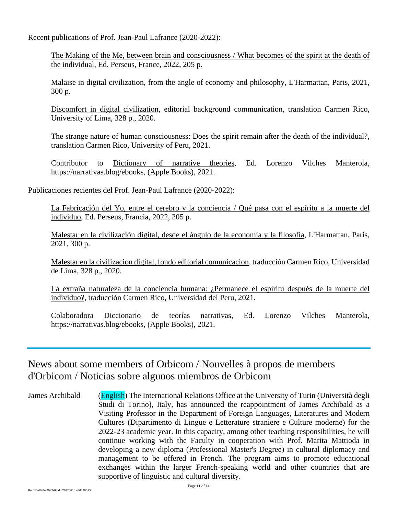Recent publications of Prof. Jean-Paul Lafrance (2020-2022):

The Making of the Me, between brain and consciousness / What becomes of the spirit at the death of the individual, Ed. Perseus, France, 2022, 205 p.

Malaise in digital civilization, from the angle of economy and philosophy, L'Harmattan, Paris, 2021, 300 p.

Discomfort in digital civilization, editorial background communication, translation Carmen Rico, University of Lima, 328 p., 2020.

The strange nature of human consciousness: Does the spirit remain after the death of the individual?, translation Carmen Rico, University of Peru, 2021.

Contributor to Dictionary of narrative theories, Ed. Lorenzo Vilches Manterola, https://narrativas.blog/ebooks, (Apple Books), 2021.

Publicaciones recientes del Prof. Jean-Paul Lafrance (2020-2022):

La Fabricación del Yo, entre el cerebro y la conciencia / Qué pasa con el espíritu a la muerte del individuo, Ed. Perseus, Francia, 2022, 205 p.

Malestar en la civilización digital, desde el ángulo de la economía y la filosofía, L'Harmattan, París, 2021, 300 p.

Malestar en la civilizacion digital, fondo editorial comunicacion, traducción Carmen Rico, Universidad de Lima, 328 p., 2020.

La extraña naturaleza de la conciencia humana: ¿Permanece el espíritu después de la muerte del individuo?, traducción Carmen Rico, Universidad del Peru, 2021.

Colaboradora Diccionario de teorías narrativas, Ed. Lorenzo Vilches Manterola, https://narrativas.blog/ebooks, (Apple Books), 2021.

# News about some members of Orbicom / Nouvelles à propos de members d'Orbicom / Noticias sobre algunos miembros de Orbicom

James Archibald (English) The International Relations Office at the University of Turin (Università degli Studi di Torino), Italy, has announced the reappointment of James Archibald as a Visiting Professor in the Department of Foreign Languages, Literatures and Modern Cultures (Dipartimento di Lingue e Letterature straniere e Culture moderne) for the 2022-23 academic year. In this capacity, among other teaching responsibilities, he will continue working with the Faculty in cooperation with Prof. Marita Mattioda in developing a new diploma (Professional Master's Degree) in cultural diplomacy and management to be offered in French. The program aims to promote educational exchanges within the larger French-speaking world and other countries that are supportive of linguistic and cultural diversity.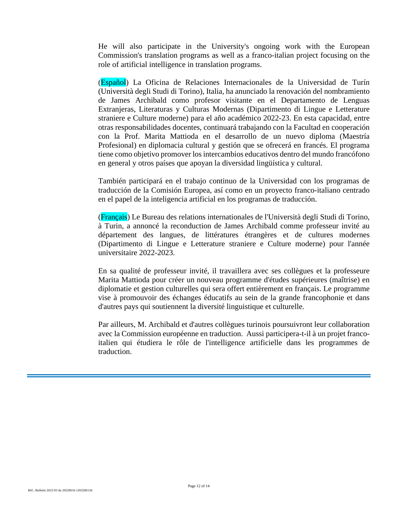He will also participate in the University's ongoing work with the European Commission's translation programs as well as a franco-italian project focusing on the role of artificial intelligence in translation programs.

(Español) La Oficina de Relaciones Internacionales de la Universidad de Turín (Università degli Studi di Torino), Italia, ha anunciado la renovación del nombramiento de James Archibald como profesor visitante en el Departamento de Lenguas Extranjeras, Literaturas y Culturas Modernas (Dipartimento di Lingue e Letterature straniere e Culture moderne) para el año académico 2022-23. En esta capacidad, entre otras responsabilidades docentes, continuará trabajando con la Facultad en cooperación con la Prof. Marita Mattioda en el desarrollo de un nuevo diploma (Maestría Profesional) en diplomacia cultural y gestión que se ofrecerá en francés. El programa tiene como objetivo promover los intercambios educativos dentro del mundo francófono en general y otros países que apoyan la diversidad lingüística y cultural.

También participará en el trabajo continuo de la Universidad con los programas de traducción de la Comisión Europea, así como en un proyecto franco-italiano centrado en el papel de la inteligencia artificial en los programas de traducción.

(Français) Le Bureau des relations internationales de l'Università degli Studi di Torino, à Turin, a annoncé la reconduction de James Archibald comme professeur invité au département des langues, de littératures étrangères et de cultures modernes (Dipartimento di Lingue e Letterature straniere e Culture moderne) pour l'année universitaire 2022-2023.

En sa qualité de professeur invité, il travaillera avec ses collègues et la professeure Marita Mattioda pour créer un nouveau programme d'études supérieures (maîtrise) en diplomatie et gestion culturelles qui sera offert entièrement en français. Le programme vise à promouvoir des échanges éducatifs au sein de la grande francophonie et dans d'autres pays qui soutiennent la diversité linguistique et culturelle.

Par ailleurs, M. Archibald et d'autres collègues turinois poursuivront leur collaboration avec la Commission européenne en traduction. Aussi participera-t-il à un projet francoitalien qui étudiera le rôle de l'intelligence artificielle dans les programmes de traduction.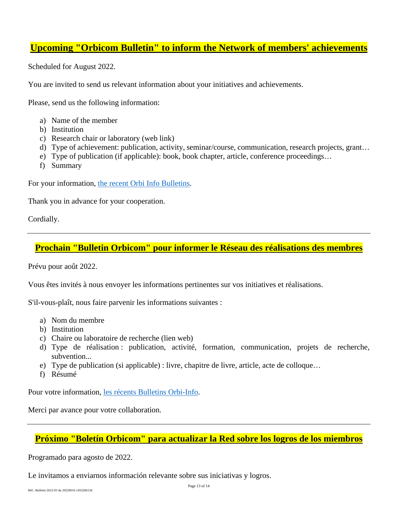# **Upcoming "Orbicom Bulletin" to inform the Network of members' achievements**

Scheduled for August 2022.

You are invited to send us relevant information about your initiatives and achievements.

Please, send us the following information:

- a) Name of the member
- b) Institution
- c) Research chair or laboratory (web link)
- d) Type of achievement: publication, activity, seminar/course, communication, research projects, grant…
- e) Type of publication (if applicable): book, book chapter, article, conference proceedings…
- f) Summary

For your information, the recent Orbi Info Bulletins.

Thank you in advance for your cooperation.

Cordially.

# **Prochain "Bulletin Orbicom" pour informer le Réseau des réalisations des membres**

Prévu pour août 2022.

Vous êtes invités à nous envoyer les informations pertinentes sur vos initiatives et réalisations.

S'il-vous-plaît, nous faire parvenir les informations suivantes :

- a) Nom du membre
- b) Institution
- c) Chaire ou laboratoire de recherche (lien web)
- d) Type de réalisation : publication, activité, formation, communication, projets de recherche, subvention...
- e) Type de publication (si applicable) : livre, chapitre de livre, article, acte de colloque…
- f) Résumé

Pour votre information, les récents Bulletins Orbi-Info.

Merci par avance pour votre collaboration.

# **Próximo "Boletín Orbicom" para actualizar la Red sobre los logros de los miembros**

Programado para agosto de 2022.

Le invitamos a enviarnos información relevante sobre sus iniciativas y logros.